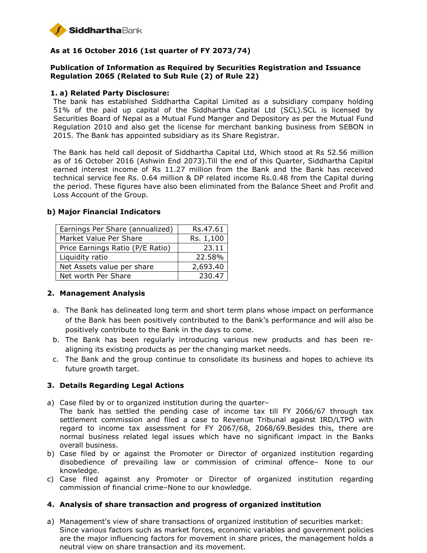

# **As at 16 October 2016 (1st quarter of FY 2073/74)**

# **Publication of Information as Required by Securities Registration and Issuance Regulation 2065 (Related to Sub Rule (2) of Rule 22)**

### **1. a) Related Party Disclosure:**

The bank has established Siddhartha Capital Limited as a subsidiary company holding 51% of the paid up capital of the Siddhartha Capital Ltd (SCL).SCL is licensed by Securities Board of Nepal as a Mutual Fund Manger and Depository as per the Mutual Fund Regulation 2010 and also get the license for merchant banking business from SEBON in 2015. The Bank has appointed subsidiary as its Share Registrar.

The Bank has held call deposit of Siddhartha Capital Ltd, Which stood at Rs 52.56 million as of 16 October 2016 (Ashwin End 2073).Till the end of this Quarter, Siddhartha Capital earned interest income of Rs 11.27 million from the Bank and the Bank has received technical service fee Rs. 0.64 million & DP related income Rs.0.48 from the Capital during the period. These figures have also been eliminated from the Balance Sheet and Profit and Loss Account of the Group.

| Earnings Per Share (annualized)  | Rs.47.61  |
|----------------------------------|-----------|
| Market Value Per Share           | Rs. 1,100 |
| Price Earnings Ratio (P/E Ratio) | 23.11     |
| Liquidity ratio                  | 22.58%    |
| Net Assets value per share       | 2,693.40  |
| Net worth Per Share              | 230.47    |

#### **b) Major Financial Indicators**

# **2. Management Analysis**

- a. The Bank has delineated long term and short term plans whose impact on performance of the Bank has been positively contributed to the Bank's performance and will also be positively contribute to the Bank in the days to come.
- b. The Bank has been regularly introducing various new products and has been realigning its existing products as per the changing market needs.
- c. The Bank and the group continue to consolidate its business and hopes to achieve its future growth target.

# **3. Details Regarding Legal Actions**

- a) Case filed by or to organized institution during the quarter–
- The bank has settled the pending case of income tax till FY 2066/67 through tax settlement commission and filed a case to Revenue Tribunal against IRD/LTPO with regard to income tax assessment for FY 2067/68, 2068/69.Besides this, there are normal business related legal issues which have no significant impact in the Banks overall business.
- b) Case filed by or against the Promoter or Director of organized institution regarding disobedience of prevailing law or commission of criminal offence– None to our knowledge.
- c) Case filed against any Promoter or Director of organized institution regarding commission of financial crime–None to our knowledge.

#### **4. Analysis of share transaction and progress of organized institution**

a) Management's view of share transactions of organized institution of securities market: Since various factors such as market forces, economic variables and government policies are the major influencing factors for movement in share prices, the management holds a neutral view on share transaction and its movement.